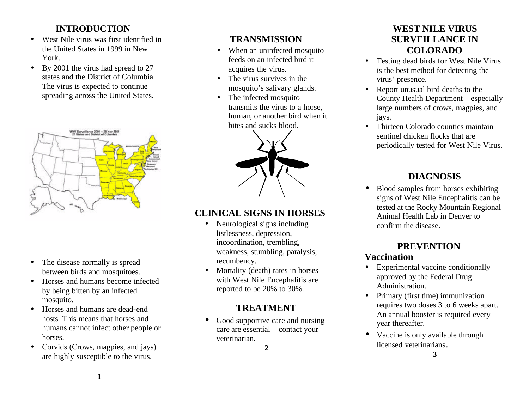## **INTRODUCTION**

- West Nile virus was first identified in the United States in 1999 in New York.
- By 2001 the virus had spread to 27 states and the District of Columbia. The virus is expected to continue spreading across the United States.



- The disease normally is spread between birds and mosquitoes.
- Horses and humans become infected by being bitten by an infected mosquito.
- Horses and humans are dead-end hosts. This means that horses and humans cannot infect other people or horses.
- Corvids (Crows, magpies, and jays) are highly susceptible to the virus.

## **TRANSMISSION**

- When an uninfected mosquito feeds on an infected bird it acquires the virus.
- The virus survives in the mosquito's salivary glands.
- The infected mosquito transmits the virus to a horse, human, or another bird when it bites and sucks blood.



# **CLINICAL SIGNS IN HORSES**

- Neurological signs including listlessness, depression, incoordination, trembling, weakness, stumbling, paralysis, recumbency.
- Mortality (death) rates in horses with West Nile Encephalitis are reported to be 20% to 30%.

## **TREATMENT**

• Good supportive care and nursing care are essential – contact your veterinarian.

**2**

#### **WEST NILE VIRUS SURVEILLANCE IN COLORADO**

- Testing dead birds for West Nile Virus is the best method for detecting the virus' presence.
- Report unusual bird deaths to the County Health Department – especially large numbers of crows, magpies, and jays.
- Thirteen Colorado counties maintain sentinel chicken flocks that are periodically tested for West Nile Virus.

# **DIAGNOSIS**

• Blood samples from horses exhibiting signs of West Nile Encephalitis can be tested at the Rocky Mountain Regional Animal Health Lab in Denver to confirm the disease.

# **PREVENTION**

## **Vaccination**

- Experimental vaccine conditionally approved by the Federal Drug Administration.
- Primary (first time) immunization requires two doses 3 to 6 weeks apart. An annual booster is required every year thereafter.
- Vaccine is only available through licensed veterinarians.

**3**